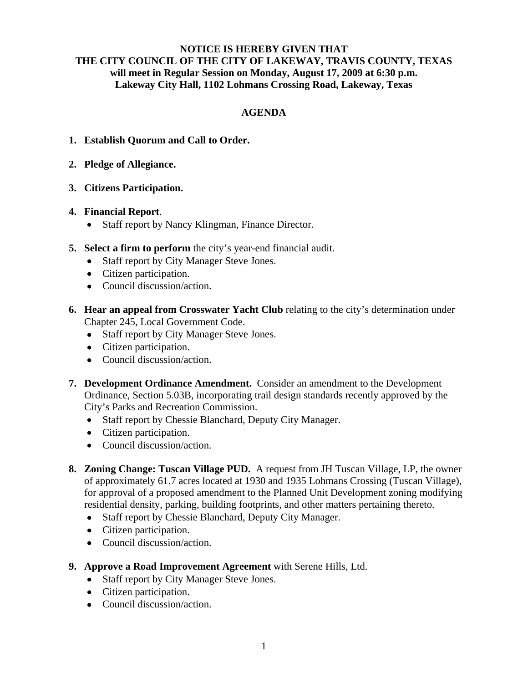## **NOTICE IS HEREBY GIVEN THAT THE CITY COUNCIL OF THE CITY OF LAKEWAY, TRAVIS COUNTY, TEXAS will meet in Regular Session on Monday, August 17, 2009 at 6:30 p.m. Lakeway City Hall, 1102 Lohmans Crossing Road, Lakeway, Texas**

# **AGENDA**

- **1. Establish Quorum and Call to Order.**
- **2. Pledge of Allegiance.**
- **3. Citizens Participation.**
- **4. Financial Report**.
	- Staff report by Nancy Klingman, Finance Director.
- **5. Select a firm to perform** the city's year-end financial audit.
	- Staff report by City Manager Steve Jones.
	- Citizen participation.
	- Council discussion/action.
- **6. Hear an appeal from Crosswater Yacht Club** relating to the city's determination under Chapter 245, Local Government Code.
	- Staff report by City Manager Steve Jones.
	- Citizen participation.
	- Council discussion/action.
- **7. Development Ordinance Amendment.** Consider an amendment to the Development Ordinance, Section 5.03B, incorporating trail design standards recently approved by the City's Parks and Recreation Commission.
	- Staff report by Chessie Blanchard, Deputy City Manager.
	- Citizen participation.
	- Council discussion/action.
- **8. Zoning Change: Tuscan Village PUD.** A request from JH Tuscan Village, LP, the owner of approximately 61.7 acres located at 1930 and 1935 Lohmans Crossing (Tuscan Village), for approval of a proposed amendment to the Planned Unit Development zoning modifying residential density, parking, building footprints, and other matters pertaining thereto.
	- Staff report by Chessie Blanchard, Deputy City Manager.
	- Citizen participation.
	- Council discussion/action.
- **9. Approve a Road Improvement Agreement** with Serene Hills, Ltd.
	- Staff report by City Manager Steve Jones.
	- Citizen participation.
	- Council discussion/action.